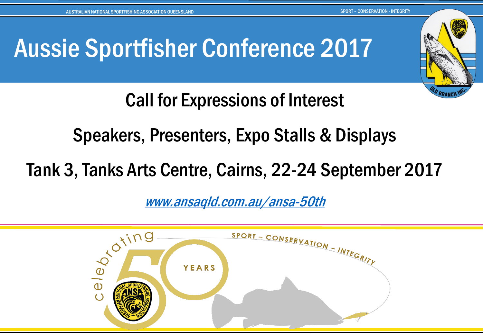# Aussie Sportfisher Conference 2017



Call for Expressions of Interest

Speakers, Presenters, Expo Stalls & Displays

Tank 3, Tanks Arts Centre, Cairns, 22-24 September 2017

[www.ansaqld.com.au/ansa-50th](http://www.ansaqld.com.au/ansa-50th/)

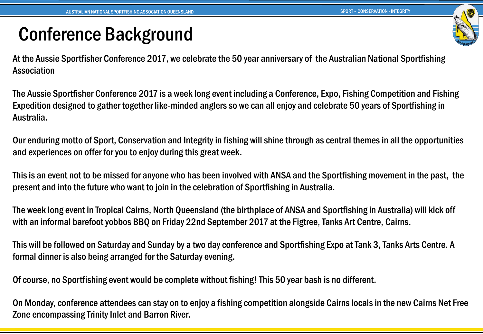#### Conference Background

At the Aussie Sportfisher Conference 2017, we celebrate the 50 year anniversary of the Australian National Sportfishing Association

The Aussie Sportfisher Conference 2017 is a week long event including a Conference, Expo, Fishing Competition and Fishing Expedition designed to gather together like-minded anglers so we can all enjoy and celebrate 50 years of Sportfishing in Australia.

Our enduring motto of Sport, Conservation and Integrity in fishing will shine through as central themes in all the opportunities and experiences on offer for you to enjoy during this great week.

This is an event not to be missed for anyone who has been involved with ANSA and the Sportfishing movement in the past, the present and into the future who want to join in the celebration of Sportfishing in Australia.

The week long event in Tropical Cairns, North Queensland (the birthplace of ANSA and Sportfishing in Australia) will kick off with an informal barefoot yobbos BBQ on Friday 22nd September 2017 at the Figtree, Tanks Art Centre, Cairns.

This will be followed on Saturday and Sunday by a two day conference and Sportfishing Expo at Tank 3, Tanks Arts Centre. A formal dinner is also being arranged for the Saturday evening.

Of course, no Sportfishing event would be complete without fishing! This 50 year bash is no different.

On Monday, conference attendees can stay on to enjoy a fishing competition alongside Cairns locals in the new Cairns Net Free Zone encompassing Trinity Inlet and Barron River.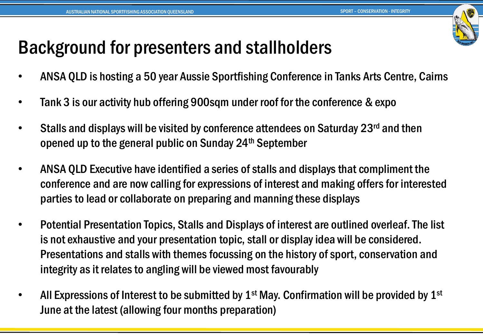

## Background for presenters and stallholders

- ANSA QLD is hosting a 50 year Aussie Sportfishing Conference in Tanks Arts Centre, Cairns
- Tank 3 is our activity hub offering 900sqm under roof for the conference & expo
- Stalls and displays will be visited by conference attendees on Saturday 23<sup>rd</sup> and then opened up to the general public on Sunday 24th September
- ANSA QLD Executive have identified a series of stalls and displays that compliment the conference and are now calling for expressions of interest and making offers for interested parties to lead or collaborate on preparing and manning these displays
- Potential Presentation Topics, Stalls and Displays of interest are outlined overleaf. The list is not exhaustive and your presentation topic, stall or display idea will be considered. Presentations and stalls with themes focussing on the history of sport, conservation and integrity as it relates to angling will be viewed most favourably
- All Expressions of Interest to be submitted by  $1<sup>st</sup>$  May. Confirmation will be provided by  $1<sup>st</sup>$ June at the latest (allowing four months preparation)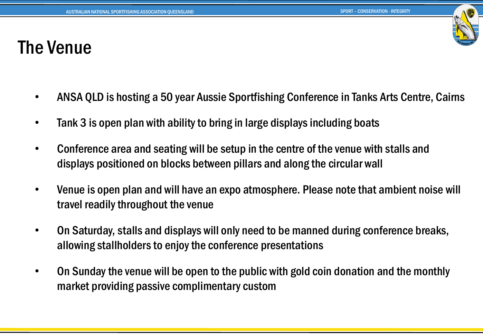#### The Venue

- ANSA QLD is hosting a 50 year Aussie Sportfishing Conference in Tanks Arts Centre, Cairns
- Tank 3 is open plan with ability to bring in large displays including boats
- Conference area and seating will be setup in the centre of the venue with stalls and displays positioned on blocks between pillars and along the circular wall
- Venue is open plan and will have an expo atmosphere. Please note that ambient noise will travel readily throughout the venue
- On Saturday, stalls and displays will only need to be manned during conference breaks, allowing stallholders to enjoy the conference presentations
- On Sunday the venue will be open to the public with gold coin donation and the monthly market providing passive complimentary custom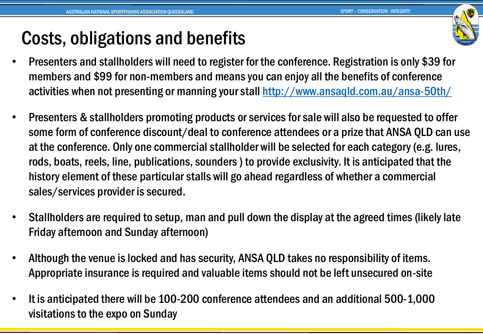#### Costs, obligations and benefits

- Presenters and stallholders will need to register for the conference. Registration is only \$39 for members and \$99 for non-members and means you can enjoy all the benefits of conference activities when not presenting or manning your stall<http://www.ansaqld.com.au/ansa-50th/>
- Presenters & stallholders promoting products or services for sale will also be requested to offer some form of conference discount/deal to conference attendees or a prize that ANSA QLD can use at the conference. Only one commercial stallholder will be selected for each category (e.g. lures, rods, boats, reels, line, publications, sounders ) to provide exclusivity. It is anticipated that the history element of these particular stalls will go ahead regardless of whether a commercial sales/services provider is secured.
- Stallholders are required to setup, man and pull down the display at the agreed times (likely late Friday afternoon and Sunday afternoon)
- Although the venue is locked and has security, ANSA QLD takes no responsibility of items. Appropriate insurance is required and valuable items should not be left unsecured on-site
- It is anticipated there will be 100-200 conference attendees and an additional 500-1,000 visitations to the expo on Sunday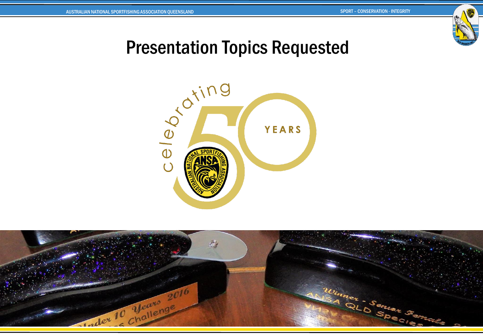

#### Presentation Topics Requested



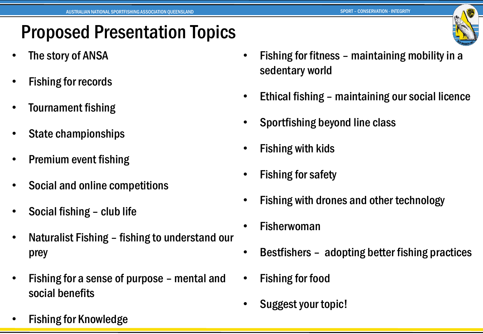#### Proposed Presentation Topics

- The story of ANSA
- Fishing for records
- Tournament fishing
- State championships
- Premium event fishing
- Social and online competitions
- Social fishing club life
- Naturalist Fishing fishing to understand our prey
- Fishing for a sense of purpose mental and social benefits
- Fishing for Knowledge
- Fishing for fitness maintaining mobility in a sedentary world
- Ethical fishing maintaining our social licence
- Sportfishing beyond line class
- Fishing with kids
- Fishing for safety
- Fishing with drones and other technology
- **Fisherwoman**
- Bestfishers adopting better fishing practices
- Fishing for food
- Suggest your topic!

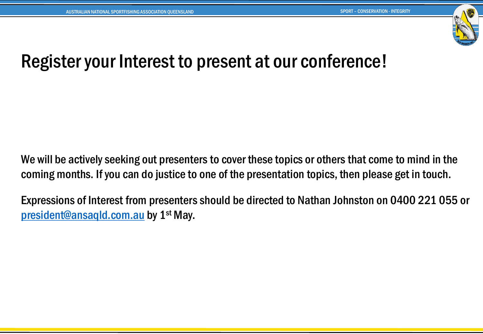

#### Register your Interest to present at our conference!

We will be actively seeking out presenters to cover these topics or others that come to mind in the coming months. If you can do justice to one of the presentation topics, then please get in touch.

Expressions of Interest from presenters should be directed to Nathan Johnston on 0400 221 055 or [president@ansaqld.com.au](mailto:president@ansaqld.com.au) by 1<sup>st</sup> May.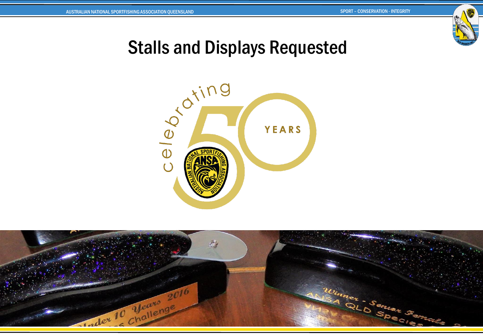

#### Stalls and Displays Requested



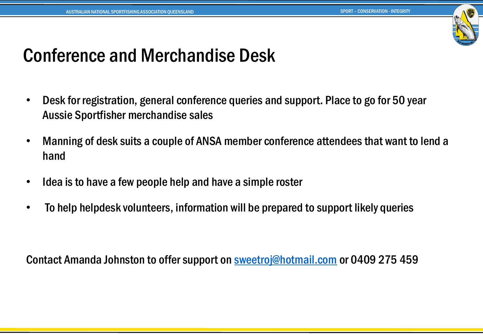

#### Conference and Merchandise Desk

- Desk for registration, general conference queries and support. Place to go for 50 year Aussie Sportfisher merchandise sales
- Manning of desk suits a couple of ANSA member conference attendees that want to lend a hand
- Idea is to have a few people help and have a simple roster
- To help helpdesk volunteers, information will be prepared to support likely queries

Contact Amanda Johnston to offer support on [sweetroj@hotmail.com](mailto:sweetroj@hotmail.com) or 0409 275 459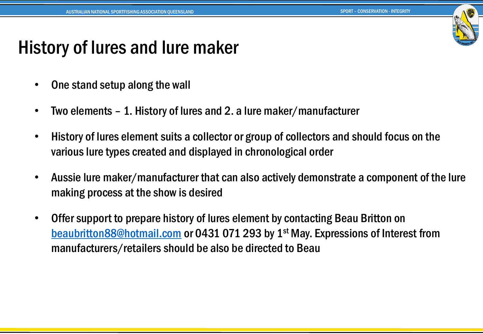

## History of lures and lure maker

- One stand setup along the wall
- Two elements 1. History of lures and 2. a lure maker/manufacturer
- History of lures element suits a collector or group of collectors and should focus on the various lure types created and displayed in chronological order
- Aussie lure maker/manufacturer that can also actively demonstrate a component of the lure making process at the show is desired
- Offer support to prepare history of lures element by contacting Beau Britton on [beaubritton88@hotmail.com](mailto:beaubritton88@hotmail.com) or 0431 071 293 by 1<sup>st</sup> May. Expressions of Interest from manufacturers/retailers should be also be directed to Beau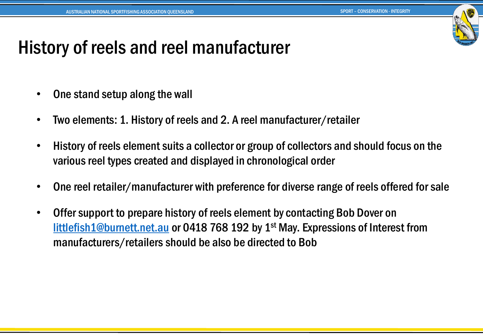

#### History of reels and reel manufacturer

- One stand setup along the wall
- Two elements: 1. History of reels and 2. A reel manufacturer/retailer
- History of reels element suits a collector or group of collectors and should focus on the various reel types created and displayed in chronological order
- One reel retailer/manufacturer with preference for diverse range of reels offered for sale
- Offer support to prepare history of reels element by contacting Bob Dover on [littlefish1@burnett.net.au](mailto:littlefish1@burnett.net.au) or 0418 768 192 by 1st May. Expressions of Interest from manufacturers/retailers should be also be directed to Bob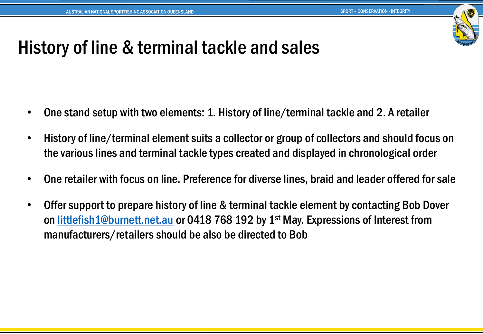

#### History of line & terminal tackle and sales

- One stand setup with two elements: 1. History of line/terminal tackle and 2. A retailer
- History of line/terminal element suits a collector or group of collectors and should focus on the various lines and terminal tackle types created and displayed in chronological order
- One retailer with focus on line. Preference for diverse lines, braid and leader offered for sale
- Offer support to prepare history of line & terminal tackle element by contacting Bob Dover on [littlefish1@burnett.net.au](mailto:littlefish1@burnett.net.au) or 0418 768 192 by 1<sup>st</sup> May. Expressions of Interest from manufacturers/retailers should be also be directed to Bob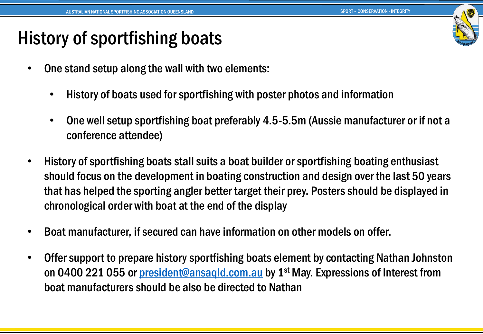## History of sportfishing boats

- One stand setup along the wall with two elements:
	- History of boats used for sportfishing with poster photos and information
	- One well setup sportfishing boat preferably 4.5-5.5m (Aussie manufacturer or if not a conference attendee)
- History of sportfishing boats stall suits a boat builder or sportfishing boating enthusiast should focus on the development in boating construction and design over the last 50 years that has helped the sporting angler better target their prey. Posters should be displayed in chronological order with boat at the end of the display
- Boat manufacturer, if secured can have information on other models on offer.
- Offer support to prepare history sportfishing boats element by contacting Nathan Johnston on 0400 221 055 or *[president@ansaqld.com.au](mailto:president@ansaqld.com.au)* by 1<sup>st</sup> May. Expressions of Interest from boat manufacturers should be also be directed to Nathan

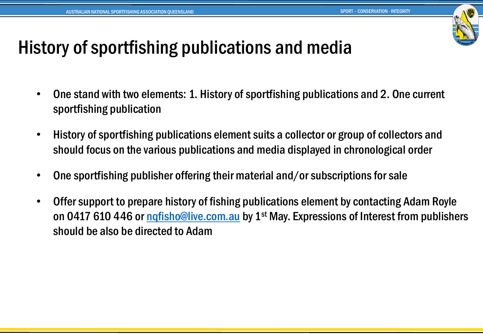

#### History of sportfishing publications and media

- One stand with two elements: 1. History of sportfishing publications and 2. One current sportfishing publication
- History of sportfishing publications element suits a collector or group of collectors and should focus on the various publications and media displayed in chronological order
- One sportfishing publisher offering their material and/or subscriptions for sale
- Offer support to prepare history of fishing publications element by contacting Adam Royle on 0417 610 446 or ngfisho@live.com.au by 1<sup>st</sup> May. Expressions of Interest from publishers should be also be directed to Adam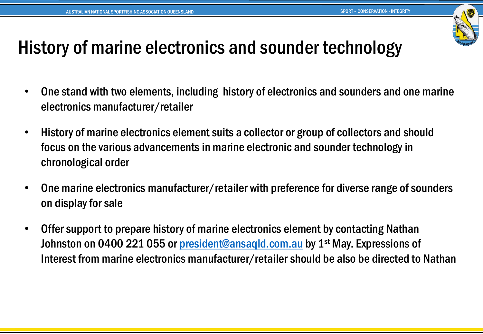

## History of marine electronics and sounder technology

- One stand with two elements, including history of electronics and sounders and one marine electronics manufacturer/retailer
- History of marine electronics element suits a collector or group of collectors and should focus on the various advancements in marine electronic and sounder technology in chronological order
- One marine electronics manufacturer/retailer with preference for diverse range of sounders on display for sale
- Offer support to prepare history of marine electronics element by contacting Nathan Johnston on 0400 221 055 or [president@ansaqld.com.au](mailto:president@ansaqld.com.au) by 1<sup>st</sup> May. Expressions of Interest from marine electronics manufacturer/retailer should be also be directed to Nathan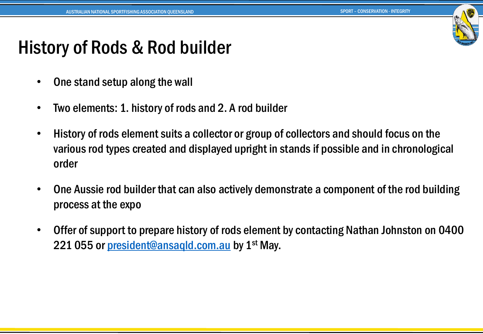

#### History of Rods & Rod builder

- One stand setup along the wall
- Two elements: 1. history of rods and 2. A rod builder
- History of rods element suits a collector or group of collectors and should focus on the various rod types created and displayed upright in stands if possible and in chronological order
- One Aussie rod builder that can also actively demonstrate a component of the rod building process at the expo
- Offer of support to prepare history of rods element by contacting Nathan Johnston on 0400 221 055 or [president@ansaqld.com.au](mailto:president@ansaqld.com.au) by 1<sup>st</sup> May.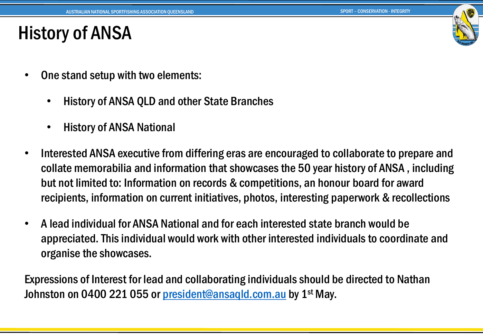

#### History of ANSA

- One stand setup with two elements:
	- History of ANSA QLD and other State Branches
	- History of ANSA National
- Interested ANSA executive from differing eras are encouraged to collaborate to prepare and collate memorabilia and information that showcases the 50 year history of ANSA , including but not limited to: Information on records & competitions, an honour board for award recipients, information on current initiatives, photos, interesting paperwork & recollections
- A lead individual for ANSA National and for each interested state branch would be appreciated. This individual would work with other interested individuals to coordinate and organise the showcases.

Expressions of Interest for lead and collaborating individuals should be directed to Nathan Johnston on 0400 221 055 or president@ansaqId.com.au by 1<sup>st</sup> May.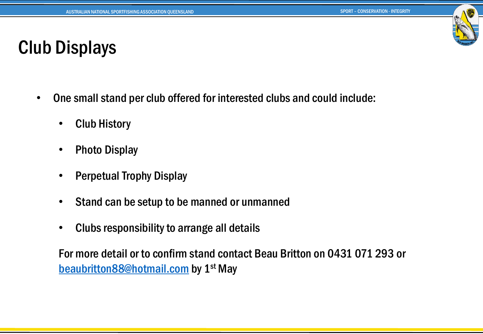

#### Club Displays

- One small stand per club offered for interested clubs and could include:
	- Club History
	- Photo Display
	- Perpetual Trophy Display
	- Stand can be setup to be manned or unmanned
	- Clubs responsibility to arrange all details

For more detail or to confirm stand contact Beau Britton on 0431 071 293 or [beaubritton88@hotmail.com](mailto:beaubritton88@hotmail.com) by 1st May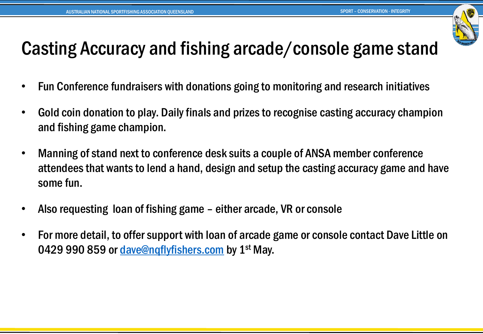

## Casting Accuracy and fishing arcade/console game stand

- Fun Conference fundraisers with donations going to monitoring and research initiatives
- Gold coin donation to play. Daily finals and prizes to recognise casting accuracy champion and fishing game champion.
- Manning of stand next to conference desk suits a couple of ANSA member conference attendees that wants to lend a hand, design and setup the casting accuracy game and have some fun.
- Also requesting loan of fishing game either arcade, VR or console
- For more detail, to offer support with loan of arcade game or console contact Dave Little on 0429 990 859 or dave@ngflyfishers.com by 1<sup>st</sup> May.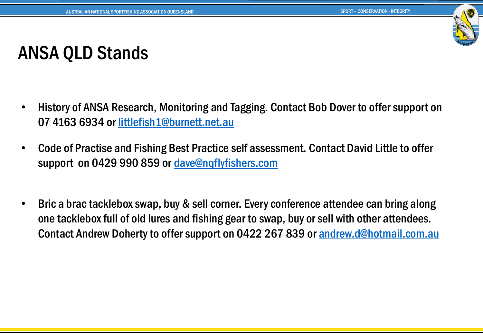

# ANSA QLD Stands

- History of ANSA Research, Monitoring and Tagging. Contact Bob Dover to offer support on 07 4163 6934 or [littlefish1@burnett.net.au](mailto:littlefish1@burnett.net.au)
- Code of Practise and Fishing Best Practice self assessment. Contact David Little to offer support on 0429 990 859 or [dave@nqflyfishers.com](mailto:dave@nqflyfishers.com)
- Bric a brac tacklebox swap, buy & sell corner. Every conference attendee can bring along one tacklebox full of old lures and fishing gear to swap, buy or sell with other attendees. Contact Andrew Doherty to offer support on 0422 267 839 or [andrew.d@hotmail.com.au](mailto:andrew.d@hotmail.com.au)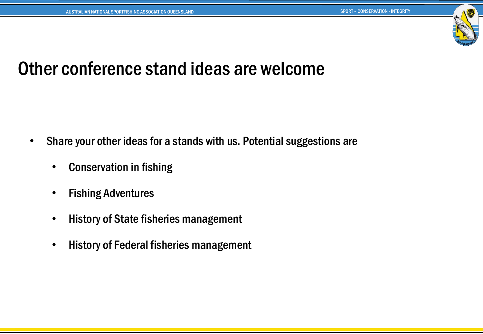

#### Other conference stand ideas are welcome

- Share your other ideas for a stands with us. Potential suggestions are
	- Conservation in fishing
	- **Fishing Adventures**
	- History of State fisheries management
	- History of Federal fisheries management